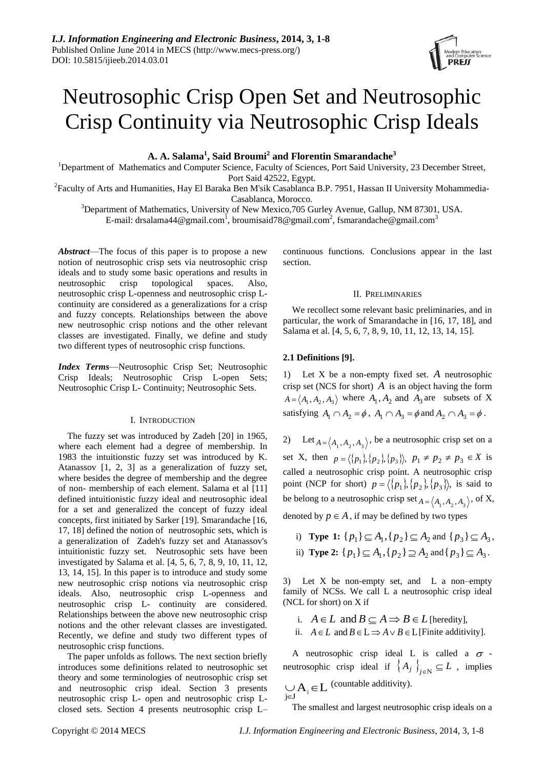

# Neutrosophic Crisp Open Set and Neutrosophic Crisp Continuity via Neutrosophic Crisp Ideals

**A. A. Salama<sup>1</sup> , Said Broumi<sup>2</sup> and Florentin Smarandache<sup>3</sup>**

<sup>1</sup>Department of Mathematics and Computer Science, Faculty of Sciences, Port Said University, 23 December Street, Port Said 42522, Egypt.

<sup>2</sup> Faculty of Arts and Humanities, Hay El Baraka Ben M'sik Casablanca B.P. 7951, Hassan II University Mohammedia-Casablanca, Morocco.

<sup>3</sup>Department of Mathematics, University of New Mexico, 705 Gurley Avenue, Gallup, NM 87301, USA. E-mail: [drsalama44@gmail.com](mailto:drsalama44@gmail.com)<sup>1</sup>, [broumisaid78@gmail.com](mailto:broumisaid78@gmail.com)<sup>2</sup>, [fsmarandache@gmail.com](mailto:fsmarandache@gmail.com)<sup>3</sup>

*Abstract*—The focus of this paper is to propose a new notion of neutrosophic crisp sets via neutrosophic crisp ideals and to study some basic operations and results in neutrosophic crisp topological spaces. Also, neutrosophic crisp L-openness and neutrosophic crisp Lcontinuity are considered as a generalizations for a crisp and fuzzy concepts. Relationships between the above new neutrosophic crisp notions and the other relevant classes are investigated. Finally, we define and study two different types of neutrosophic crisp functions.

*Index Terms*—Neutrosophic Crisp Set; Neutrosophic Crisp Ideals; Neutrosophic Crisp L-open Sets; Neutrosophic Crisp L- Continuity; Neutrosophic Sets.

# I. INTRODUCTION

The fuzzy set was introduced by Zadeh [20] in 1965, where each element had a degree of membership. In 1983 the intuitionstic fuzzy set was introduced by K. Atanassov [1, 2, 3] as a generalization of fuzzy set, where besides the degree of membership and the degree of non- membership of each element. Salama et al [11] defined intuitionistic fuzzy ideal and neutrosophic ideal for a set and generalized the concept of fuzzy ideal concepts, first initiated by Sarker [19]. Smarandache [16, 17, 18] defined the notion of neutrosophic sets, which is a generalization of Zadeh's fuzzy set and Atanassov's intuitionistic fuzzy set. Neutrosophic sets have been investigated by Salama et al. [4, 5, 6, 7, 8, 9, 10, 11, 12, 13, 14, 15]. In this paper is to introduce and study some new neutrosophic crisp notions via neutrosophic crisp ideals. Also, neutrosophic crisp L-openness and neutrosophic crisp L- continuity are considered. Relationships between the above new neutrosophic crisp notions and the other relevant classes are investigated. Recently, we define and study two different types of neutrosophic crisp functions.

The paper unfolds as follows. The next section briefly introduces some definitions related to neutrosophic set theory and some terminologies of neutrosophic crisp set and neutrosophic crisp ideal. Section 3 presents neutrosophic crisp L- open and neutrosophic crisp Lclosed sets. Section 4 presents neutrosophic crisp L– continuous functions. Conclusions appear in the last section.

## II. PRELIMINARIES

We recollect some relevant basic preliminaries, and in particular, the work of Smarandache in [16, 17, 18], and Salama et al. [4, 5, 6, 7, 8, 9, 10, 11, 12, 13, 14, 15].

# **2.1 Definitions [9].**

1) Let X be a non-empty fixed set. *A* neutrosophic crisp set (NCS for short)  $\vec{A}$  is an object having the form  $A = \langle A_1, A_2, A_3 \rangle$  where  $A_1, A_2$  and  $A_3$  are subsets of X satisfying  $A_1 \cap A_2 = \phi$ ,  $A_1 \cap A_3 = \phi$  and  $A_2 \cap A_3 = \phi$ .

2) Let  $A = \langle A_1, A_2, A_3 \rangle$ , be a neutrosophic crisp set on a set X, then  $p = \langle \{p_1\}, \{p_2\}, \{p_3\} \rangle$ ,  $p_1 \neq p_2 \neq p_3 \in X$  is called a neutrosophic crisp point. A neutrosophic crisp point (NCP for short)  $p = \langle \{p_1\}, \{p_2\}, \{p_3\} \rangle$ , is said to be belong to a neutrosophic crisp set  $A = \langle A_1, A_2, A_3 \rangle$ , of X,

denoted by  $p \in A$ , if may be defined by two types

i) **Type 1:**  $\{p_1\} \subseteq A_1, \{p_2\} \subseteq A_2$  and  $\{p_3\} \subseteq A_3$ , ii) **Type 2:**  $\{p_1\} \subseteq A_1, \{p_2\} \supseteq A_2$  and  $\{p_3\} \subseteq A_3$ .

3) Let X be non-empty set, and L a non–empty family of NCSs. We call L a neutrosophic crisp ideal (NCL for short) on X if

- i.  $A \in L$  and  $B \subseteq A \implies B \in L$  [heredity],
- ii.  $A \in L$  and  $B \in L \implies A \vee B \in L$  [Finite additivity].

A neutrosophic crisp ideal L is called a  $\sigma$  neutrosophic crisp ideal if  $\{A_j\}_{j\in\mathbb{N}}\subseteq L$ , implies  $\bigcup_{j\in J} A_j \in L$  (countable additivity).

The smallest and largest neutrosophic crisp ideals on a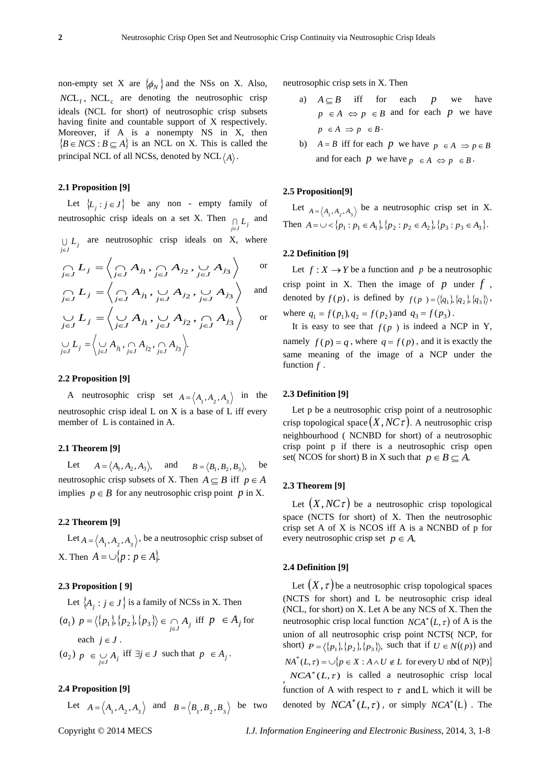non-empty set X are  $\{\phi_N\}$  and the NSs on X. Also,  $NCL<sub>f</sub>$ ,  $NCL<sub>c</sub>$  are denoting the neutrosophic crisp ideals (NCL for short) of neutrosophic crisp subsets having finite and countable support of X respectively. Moreover, if A is a nonempty NS in X, then  ${B \in NCS : B \subseteq A}$  is an NCL on X. This is called the principal NCL of all NCSs, denoted by  $NCL \langle A \rangle$ .

# **2.1 Proposition [9]**

Let  $\{L_j : j \in J\}$  be any non - empty family of neutrosophic crisp ideals on a set X. Then  $\bigcap L_j$  and  $j \in J$ i∈.  $\bigcup L_j$  are neutrosophic crisp ideals on X, where

$$
\bigcap_{j\in J} L_j = \left\langle \bigcap_{j\in J} A_{j_1}, \bigcap_{j\in J} A_{j_2}, \bigcup_{j\in J} A_{j_3} \right\rangle \qquad \text{or}
$$

$$
\bigcap_{j\in J} L_j = \left\langle \bigcap_{j\in J} A_{j_1}, \bigcup_{j\in J} A_{j_2}, \bigcup_{j\in J} A_{j_3} \right\rangle \text{ and }
$$

$$
\bigcup_{j \in J} L_j = \left\langle \bigcup_{j \in J} A_{j_1}, \bigcup_{j \in J} A_{j_2}, \bigcap_{j \in J} A_{j_3} \right\rangle \text{ or}
$$

$$
\bigcup_{j \in J} L_j = \left\langle \bigcup_{j \in J} A_{j_1}, \bigcap_{j \in J} A_{j_2}, \bigcap_{j \in J} A_{j_3} \right\rangle.
$$

# **2.2 Proposition [9]**

A neutrosophic crisp set  $A = \langle A_1, A_2, A_3 \rangle$  in the neutrosophic crisp ideal L on X is a base of L iff every member of L is contained in A.

# **2.1 Theorem [9]**

Let  $A = \langle A_1, A_2, A_3 \rangle$ , and  $B = \langle B_1, B_2, B_3 \rangle$ , be neutrosophic crisp subsets of X. Then  $A \subseteq B$  iff  $p \in A$ implies  $p \in B$  for any neutrosophic crisp point p in X.

# **2.2 Theorem [9]**

Let  $A = \langle A_1, A_2, A_3 \rangle$ , be a neutrosophic crisp subset of *X*. Then  $A = \bigcup \{p : p \in A\}.$ 

# **2.3 Proposition [ 9]**

Let 
$$
\{A_j : j \in J\}
$$
 is a family of NCSs in X. Then  
\n $(a_1) p = \langle \{p_1\}, \{p_2\}, \{p_3\} \rangle \in \bigcap_{j \in J} A_j$  iff  $p \in A_j$  for

each 
$$
j \in J
$$
.  
\n( $a_2$ )  $p \in \bigcup_{j \in J} A_j$  iff  $\exists j \in J$  such that  $p \in A_j$ .

# **2.4 Proposition [9]**

Let  $A = \langle A_1, A_2, A_3 \rangle$  and  $B = \langle B_1, B_2, B_3 \rangle$  be two

neutrosophic crisp sets in X. Then

- a)  $A \subseteq B$  iff for each *p* we have  $p \in A \Leftrightarrow p \in B$  and for each p we have  $p \in A \implies p \in B$ .
- b)  $A = B$  iff for each p we have  $p \in A \implies p \in B$ and for each p we have  $p \in A \Leftrightarrow p \in B$ .

# **2.5 Proposition[9]**

Let  $A = \langle A_1, A_2, A_3 \rangle$  be a neutrosophic crisp set in X. Then  $A = \bigcup \{p_1 : p_1 \in A_1\}, \{p_2 : p_2 \in A_2\}, \{p_3 : p_3 \in A_3\}.$ 

## **2.2 Definition [9]**

Let  $f: X \to Y$  be a function and p be a neutrosophic crisp point in X. Then the image of  $p$  under  $f$ , denoted by  $f(p)$ , is defined by  $f(p) = \langle \{q_1\}, \{q_2\}, \{q_3\} \rangle$ , where  $q_1 = f(p_1), q_2 = f(p_2)$  and  $q_3 = f(p_3)$ .

It is easy to see that  $f(p)$  is indeed a NCP in Y, namely  $f(p) = q$ , where  $q = f(p)$ , and it is exactly the same meaning of the image of a NCP under the function *f* .

#### **2.3 Definition [9]**

Let p be a neutrosophic crisp point of a neutrosophic crisp topological space *X*,*NC* . A neutrosophic crisp neighbourhood ( NCNBD for short) of a neutrosophic crisp point p if there is a neutrosophic crisp open set( NCOS for short) B in X such that  $p \in B \subseteq A$ .

# **2.3 Theorem [9]**

Let  $(X, NC \tau)$  be a neutrosophic crisp topological space (NCTS for short) of X. Then the neutrosophic crisp set A of X is NCOS iff A is a NCNBD of p for every neutrosophic crisp set  $p \in A$ .

# **2.4 Definition [9]**

Let  $(X, \tau)$  be a neutrosophic crisp topological spaces (NCTS for short) and L be neutrosophic crisp ideal (NCL, for short) on X. Let A be any NCS of X. Then the neutrosophic crisp local function  $NCA^*(L, \tau)$  of A is the union of all neutrosophic crisp point NCTS( NCP, for short)  $P = \langle \{p_1\}, \{p_2\}, \{p_3\} \rangle$ , such that if  $U \in N((p))$  and  $NA^*(L, \tau) = \bigcup \{ p \in X : A \wedge U \notin L \text{ for every } U \text{ nbd of } N(P) \}$  $NCA^*(L, \tau)$  is called a neutrosophic crisp local function of A with respect to  $\tau$  and L which it will be denoted by  $NCA^*(L, \tau)$ , or simply  $NCA^*(L)$ . The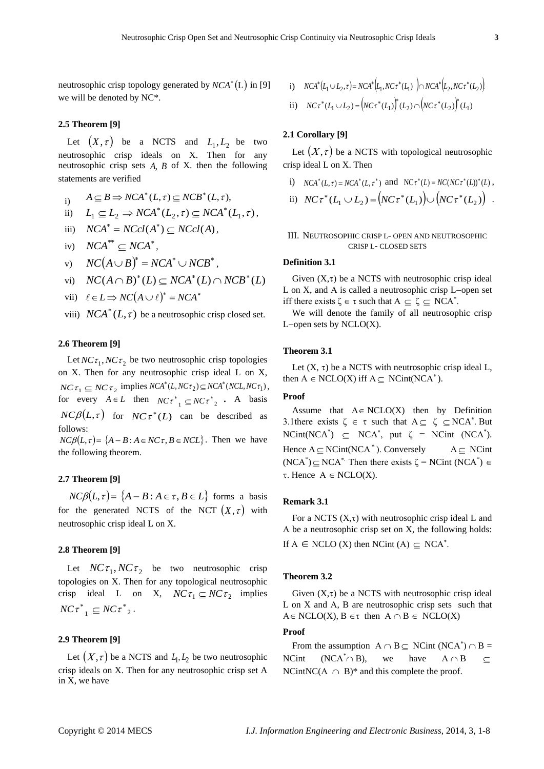neutrosophic crisp topology generated by  $NCA^*(L)$  in [9] we will be denoted by NC\*.

# **2.5 Theorem [9]**

Let  $(X, \tau)$  be a NCTS and  $L_1, L_2$  be two neutrosophic crisp ideals on X. Then for any neutrosophic crisp sets *A*, *B* of X. then the following statements are verified

- i)  $A \subseteq B \Rightarrow NCA^*(L, \tau) \subseteq NCB^*(L, \tau),$
- ii)  $L_1 \subseteq L_2 \Rightarrow NCA^*(L_2, \tau) \subseteq NCA^*(L_1, \tau),$
- iii)  $NCA^* = NCol(A^*) \subseteq NCol(A)$ ,
- iv)  $NCA^{**} \subseteq NCA^*$ ,
- v)  $NC(A \cup B)^* = NCA^* \cup NCB^*$ ,

vi) 
$$
NC(A \cap B)^*(L) \subseteq NCA^*(L) \cap NCB^*(L)
$$

- vii)  $\ell \in L \implies NC(A \cup \ell)^* = NCA^*$
- viii)  $NCA^*(L, \tau)$  be a neutrosophic crisp closed set.

# **2.6 Theorem [9]**

Let  $NC\tau_1$ ,  $NC\tau_2$  be two neutrosophic crisp topologies on X. Then for any neutrosophic crisp ideal L on X,  $NC \tau_1 \subseteq NC \tau_2$  implies  $NCA^*(L, NC \tau_2) \subseteq NCA^*(NCL, NC \tau_1)$ , for every  $A \in L$  then  $NC\tau_{1}^{*} \subseteq NC\tau_{2}^{*}$ . A basis  $NC\beta(L,\tau)$  for  $NC\tau^*(L)$  can be described as follows:  $NC\beta(L,\tau) = \{A - B : A \in NC\tau, B \in NCL\}$ . Then we have

the following theorem.

# **2.7 Theorem [9]**

 $NC\beta(L,\tau) = \{A - B : A \in \tau, B \in L\}$  forms a basis for the generated NCTS of the NCT  $(X, \tau)$  with neutrosophic crisp ideal L on X.

## **2.8 Theorem [9]**

Let  $NC\tau_1, NC\tau_2$  be two neutrosophic crisp topologies on X. Then for any topological neutrosophic crisp ideal L on X,  $NC\tau_1 \subseteq NC\tau_2$  implies  $NC\tau_{1}^{*} \subseteq NC\tau_{2}^{*}.$ 

# **2.9 Theorem [9]**

Let  $(X, \tau)$  be a NCTS and  $L_1, L_2$  be two neutrosophic crisp ideals on X. Then for any neutrosophic crisp set A in X, we have

i) 
$$
NCA^*(L_1 \cup L_2, \tau) = NCA^*(L_1, NC\tau^*(L_1)) \cap NCA^*(L_2, NC\tau^*(L_2))
$$
  
ii)  $NC\tau^*(L_1 \cup L_2) = (NC\tau^*(L_1))^*(L_2) \cap (NC\tau^*(L_2))^*(L_1)$ 

# **2.1 Corollary [9]**

Let  $(X, \tau)$  be a NCTS with topological neutrosophic crisp ideal L on X. Then

i)  $NCA^*(L, \tau) = NCA^*(L, \tau^*)$  and  $NCA^*(L) = NC(NC\tau^*(L))^*(L)$ , ii)  $NC\tau^*(L_1 \cup L_2) = (NC\tau^*(L_1)) \cup (NC\tau^*(L_2))$ .

# III. NEUTROSOPHIC CRISP L- OPEN AND NEUTROSOPHIC CRISP L- CLOSED SETS

# **Definition 3.1**

Given  $(X,\tau)$  be a NCTS with neutrosophic crisp ideal  $L$  on  $X$ , and  $A$  is called a neutrosophic crisp  $L$ -open set iff there exists  $\zeta \in \tau$  such that  $A \subseteq \zeta \subseteq NCA^*$ .

We will denote the family of all neutrosophic crisp L-open sets by  $NCLO(X)$ .

# **Theorem 3.1**

Let  $(X, \tau)$  be a NCTS with neutrosophic crisp ideal L, then  $A \in \text{NCLO}(X)$  iff  $A \subseteq \text{NCint}(\text{NCA}^*)$ .

## **Proof**

Assume that  $A \in NCLO(X)$  then by Definition 3.1 there exists  $\zeta \in \tau$  such that  $A \subseteq \zeta \subseteq NCA^*$ . But  $NCint(NCA^*) \subseteq NCA^*$ , put  $\zeta = NCint (NCA^*)$ . Hence  $A \subseteq NCint(NCA^*)$ . Conversely A  $\subseteq$  NCint (NCA<sup>\*</sup>)  $\subseteq$  NCA<sup>\*</sup> Then there exists  $\zeta$  = NCint (NCA<sup>\*</sup>)  $\in$  $\tau$ . Hence  $A \in NCLO(X)$ .

## **Remark 3.1**

For a NCTS  $(X, \tau)$  with neutrosophic crisp ideal L and A be a neutrosophic crisp set on  $X$ , the following holds: If  $A \in \text{NCLO}$  (X) then  $\text{NCint}$  (A)  $\subseteq \text{NCA}^*$ .

# **Theorem 3.2**

Given  $(X,\tau)$  be a NCTS with neutrosophic crisp ideal  $L$  on  $X$  and  $A$ ,  $B$  are neutrosophic crisp sets such that  $A \in NCLO(X), B \in \tau$  then  $A \cap B \in NCLO(X)$ 

## **Proof**

From the assumption  $A \cap B \subseteq NCint(NCA^*) \cap B =$ NCint  $(NCA^*\cap B)$ , we have  $A \cap B$  $\subset$ NCintNC( $A \cap B$ )\* and this complete the proof.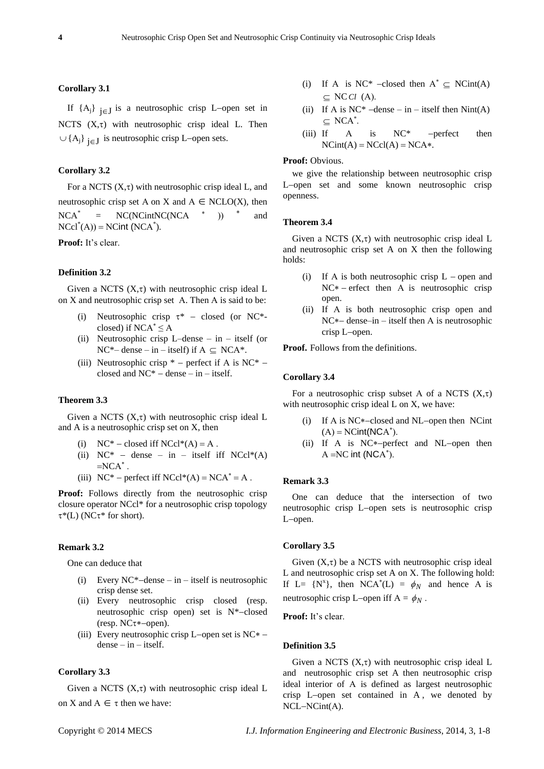# **Corollary 3.1**

If  $\{A_j\}$   $_{j \in J}$  is a neutrosophic crisp L-open set in NCTS  $(X,\tau)$  with neutrosophic crisp ideal L. Then  $\cup$  {A<sub>j</sub>} <sub>j∈</sub> J is neutrosophic crisp L–open sets.

# **Corollary 3.2**

For a NCTS  $(X, \tau)$  with neutrosophic crisp ideal L, and neutrosophic crisp set A on X and  $A \in NCLO(X)$ , then  $NCA^*$  $= NC(NCintNC(NCA \t *))$  \* and  $NCal^*(A)$  = NCint (NCA<sup>\*</sup>).

**Proof:** It's clear.

## **Definition 3.2**

Given a NCTS  $(X, \tau)$  with neutrosophic crisp ideal L on  $X$  and neutrosophic crisp set  $A$ . Then  $A$  is said to be:

- (i) Neutrosophic crisp  $\tau^*$  closed (or NC\*closed) if  $NCA^* \leq A$
- (ii) Neutrosophic crisp L–dense in itself (or  $NC^*$  – dense – in – itself) if  $A \subseteq NCA^*$ .
- (iii) Neutrosophic crisp  $*$  perfect if A is NC $*$  closed and  $NC^*$  – dense – in – itself.

## **Theorem 3.3**

Given a NCTS  $(X, \tau)$  with neutrosophic crisp ideal L and A is a neutrosophic crisp set on X, then

- (i)  $NC^*$  closed iff  $NCl^*(A) = A$ .
- (ii)  $NC^*$  dense in itself iff  $NCc^*(A)$  $=NCA^*$ .
- (iii)  $NC^*$  perfect iff  $NCol^*(A) = NCA^* = A$ .

Proof: Follows directly from the neutrosophic crisp closure operator NCcl\* for a neutrosophic crisp topology  $\tau^*(L)$  (NC $\tau^*$  for short).

# **Remark 3.2**

One can deduce that

- (i) Every NC<sup>\*</sup>-dense in itself is neutrosophic crisp dense set.
- (ii) Every neutrosophic crisp closed (resp. neutrosophic crisp open) set is  $N*-closed$ (resp.  $NC\tau$ \*-open).
- (iii) Every neutrosophic crisp L-open set is  $NC^*$   $dense - in - itself.$

# **Corollary 3.3**

Given a NCTS  $(X, \tau)$  with neutrosophic crisp ideal L on X and  $A \in \tau$  then we have:

- (i) If A is NC\* -closed then  $A^* \subseteq NCint(A)$  $\subseteq$  NC *Cl* (A).
- (ii) If A is  $NC^*$  –dense in itself then Nint(A)  $\subseteq$  NCA<sup>\*</sup>.
- (iii) If  $A$  is  $NC^*$  -perfect then  $NCint(A) = NCcl(A) = NCA*.$

#### Proof: Obvious.

we give the relationship between neutrosophic crisp L-open set and some known neutrosophic crisp openness.

#### **Theorem 3.4**

Given a NCTS  $(X, \tau)$  with neutrosophic crisp ideal L and neutrosophic crisp set A on X then the following holds:

- (i) If A is both neutrosophic crisp  $L$  open and  $NC*$  – erfect then A is neutrosophic crisp open.
- (ii) If A is both neutrosophic crisp open and  $NC*-$  dense–in – itself then A is neutrosophic crisp L-open.

**Proof.** Follows from the definitions.

#### **Corollary 3.4**

For a neutrosophic crisp subset A of a NCTS  $(X,\tau)$ with neutrosophic crisp ideal L on X, we have:

- (i) If A is  $NC^*$ -closed and NL-open then NCint  $(A) = NCint(NCA^*)$ .
- (ii) If A is  $NC*-perfect$  and  $NL-open$  then  $A = NC$  int (NCA<sup>\*</sup>).

## **Remark 3.3**

One can deduce that the intersection of two neutrosophic crisp L-open sets is neutrosophic crisp L-open.

## **Corollary 3.5**

Given  $(X,\tau)$  be a NCTS with neutrosophic crisp ideal L and neutrosophic crisp set A on X. The following hold: If L=  $\{N^x\}$ , then NCA<sup>\*</sup>(L) =  $\phi_N$  and hence A is neutrosophic crisp L-open iff  $A = \phi_N$ .

Proof: It's clear.

## **Definition 3.5**

Given a NCTS  $(X, \tau)$  with neutrosophic crisp ideal L and neutrosophic crisp set A then neutrosophic crisp ideal interior of A is defined as largest neutrosophic crisp L-open set contained in A, we denoted by  $NCL-NCint(A)$ .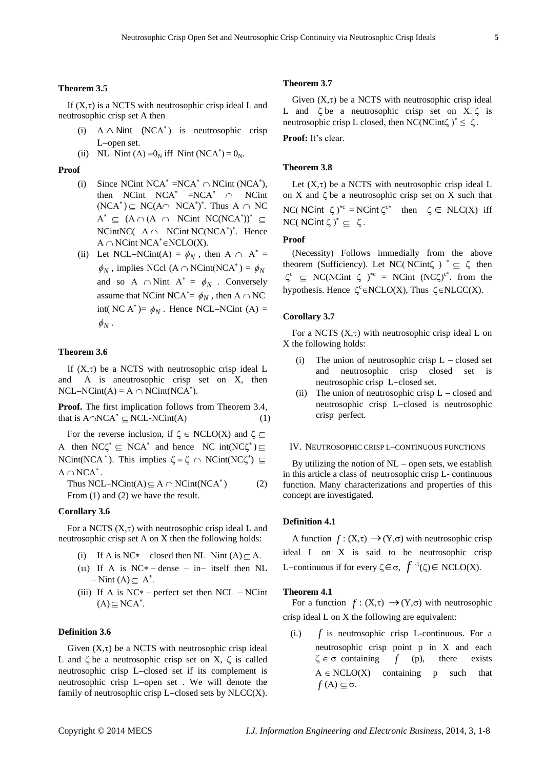#### **Theorem 3.5**

If  $(X,\tau)$  is a NCTS with neutrosophic crisp ideal L and neutrosophic crisp set A then

- (i)  $A \wedge$  Nint (NCA<sup>\*</sup>) is neutrosophic crisp L-open set.
- (ii) NL-Nint (A) =  $0_N$  iff Nint (NCA<sup>\*</sup>) =  $0_N$ .

#### **Proof**

- (i) Since NCint NCA<sup>\*</sup> =NCA<sup>\*</sup>  $\cap$  NCint (NCA<sup>\*</sup>), then NCint  $NCA^* = NCA^* \cap NC$ int  $(NCA^*)\subseteq NC(A\cap NCA^*)^*$ . Thus  $A \cap NC$  $A^* \subseteq (A \cap (A \cap NCint NC(NCA^*))^* \subseteq$ NCintNC( $A \cap N$ Cint NC(NCA<sup>\*</sup>)<sup>\*</sup>. Hence  $A \cap N\text{C}$ int  $NCA^* \in N\text{CLO}(X)$ .
- (ii) Let NCL-NCint(A) =  $\phi_N$ , then A  $\cap$  A<sup>\*</sup> =  $\phi_N$ , implies NCcl (A  $\cap$  NCint(NCA<sup>\*</sup>) =  $\phi_N$ and so A  $\cap$  Nint A<sup>\*</sup> =  $\phi_N$ . Conversely assume that NCint NCA<sup>\*</sup>=  $\phi_N$ , then A  $\cap$  NC int(NC A<sup>\*</sup>)=  $\phi_N$ . Hence NCL-NCint (A) =  $\phi_N$ .

# **Theorem 3.6**

If  $(X,\tau)$  be a NCTS with neutrosophic crisp ideal L and A is aneutrosophic crisp set on X, then  $NCL-NCint(A) = A \cap NCint(NCA^*).$ 

**Proof.** The first implication follows from Theorem 3.4, that is  $A \cap NCA^* \subseteq NCL-NCint(A)$  (1)

For the reverse inclusion, if  $\zeta \in \text{NCLO}(X)$  and  $\zeta \subseteq$ A then  $NC\zeta^* \subseteq NCA^*$  and hence  $NC \text{ int}(NC\zeta^*) \subseteq$ NCint(NCA<sup>\*</sup>). This implies  $\zeta = \zeta \cap NCint(NC\zeta^*) \subseteq$  $A \cap NCA^*$ .

Thus NCL-NCint(A)  $\subseteq$  A  $\cap$  NCint(NCA ) (2) From  $(1)$  and  $(2)$  we have the result.

#### **Corollary 3.6**

For a NCTS  $(X, \tau)$  with neutrosophic crisp ideal L and neutrosophic crisp set A on X then the following holds:

- (i) If A is NC\* closed then NL-Nint (A)  $\subseteq$  A.
- (11) If A is  $NC^*$  dense in– itself then NL  $-Nint (A) \subseteq A^*$ .
- (iii) If A is  $NC^*$  perfect set then  $NCL$  NCint  $(A) \subseteq NCA^*$ .

## **Definition 3.6**

Given  $(X,\tau)$  be a NCTS with neutrosophic crisp ideal L and  $\zeta$  be a neutrosophic crisp set on X,  $\zeta$  is called neutrosophic crisp L-closed set if its complement is neutrosophic crisp L-open set . We will denote the family of neutrosophic crisp L-closed sets by  $NLCC(X)$ .

## **Theorem 3.7**

Given  $(X,\tau)$  be a NCTS with neutrosophic crisp ideal L and  $\zeta$  be a neutrosophic crisp set on X. $\zeta$  is neutrosophic crisp L closed, then NC(NCint $\zeta$ )<sup>\*</sup>  $\leq \zeta$ .

**Proof:** It's clear.

# **Theorem 3.8**

Let  $(X,\tau)$  be a NCTS with neutrosophic crisp ideal L on  $X$  and  $\zeta$  be a neutrosophic crisp set on  $X$  such that NC( NCint  $\zeta$ )<sup>\*c</sup> = NCint  $\zeta$ <sup>c\*</sup> then  $\zeta \in NLC(X)$  iff NC( NCint  $\zeta$ )<sup>\*</sup>  $\subseteq$   $\zeta$ .

## **Proof**

(Necessity) Follows immedially from the above theorem (Sufficiency). Let NC(NCint $\zeta$ )<sup>\*</sup>  $\subseteq$   $\zeta$  then  $\zeta^c \subseteq NC(NCint \zeta)^{c} = NCint (NC\zeta)^{c^*}$  from the hypothesis. Hence  $\zeta^c$   $\in$  NCLO(X), Thus  $\zeta$  $\in$  NLCC(X).

#### **Corollary 3.7**

For a NCTS  $(X, \tau)$  with neutrosophic crisp ideal L on X the following holds:

- The union of neutrosophic crisp  $L$  closed set and neutrosophic crisp closed set is neutrosophic crisp L-closed set.
- (ii) The union of neutrosophic crisp  $L closed$  and neutrosophic crisp L-closed is neutrosophic crisp perfect.

## IV. NEUTROSOPHIC CRISP L–CONTINUOUS FUNCTIONS

By utilizing the notion of  $NL$  – open sets, we establish in this article a class of neutrosophic crisp L- continuous function. Many characterizations and properties of this concept are investigated.

#### **Definition 4.1**

A function  $f: (X, \tau) \rightarrow (Y, \sigma)$  with neutrosophic crisp ideal L on X is said to be neutrosophic crisp L-continuous if for every  $\zeta \in \sigma$ ,  $f^{-1}(\zeta) \in \text{NCLO}(X)$ .

#### **Theorem 4.1**

For a function  $f: (X,\tau) \rightarrow (Y,\sigma)$  with neutrosophic crisp ideal L on X the following are equivalent:

(i.) *f* is neutrosophic crisp L-continuous. For a neutrosophic crisp point p in X and each  $\zeta \in \sigma$  containing *f* (p), there exists  $A \in NCLO(X)$  containing p such that  $f(A) \subseteq \sigma$ .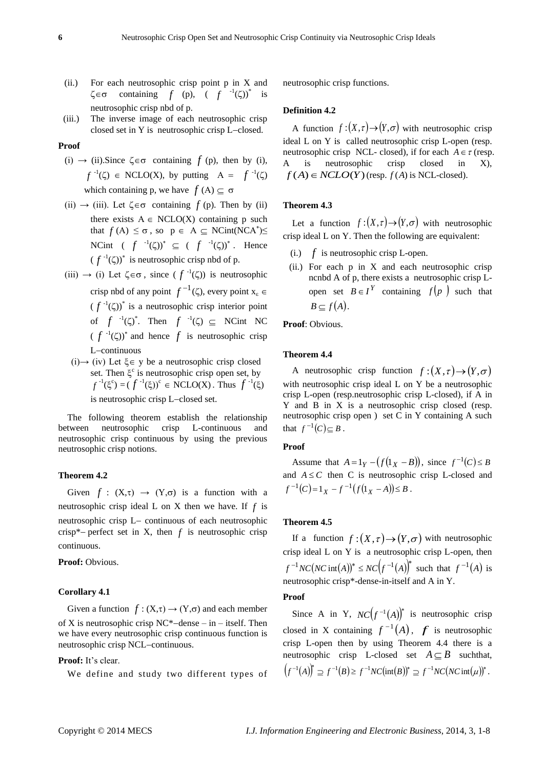- (ii.) For each neutrosophic crisp point p in X and  $\zeta \in \sigma$  containing *f* (p), ( *f*  $^{-1}(\zeta)$ <sup>\*</sup> is neutrosophic crisp nbd of p.
- (iii.) The inverse image of each neutrosophic crisp closed set in  $Y$  is neutrosophic crisp L-closed.

# **Proof**

- (i)  $\rightarrow$  (ii). Since  $\zeta \in \sigma$  containing  $f(p)$ , then by (i),  $f^{-1}(\zeta) \in \text{NCLO}(X)$ , by putting  $A = f^{-1}(\zeta)$ which containing p, we have  $f(A) \subseteq \sigma$
- $(ii) \rightarrow (iii)$ . Let  $\zeta \in \sigma$  containing  $f(p)$ . Then by (ii) there exists  $A \in \text{NCLO}(X)$  containing p such that  $f(A) \leq \sigma$ , so  $p \in A \subseteq NCint(NCA^*) \leq$ NCint  $(f^{-1}(\zeta))^* \subseteq (f^{-1}(\zeta))^*$ . Hence  $(f^{-1}(\zeta))^*$  is neutrosophic crisp nbd of p.
- $(iii) \rightarrow (i)$  Let  $\zeta \in \sigma$ , since  $(f^{-1}(\zeta))$  is neutrosophic crisp nbd of any point  $f^{-1}(\zeta)$ , every point  $x_{\epsilon} \in$  $(f^{-1}(\zeta))^*$  is a neutrosophic crisp interior point of  $f^{-1}(\zeta)^*$ . Then  $f^{-1}(\zeta) \subseteq$  NCint NC  $(f^{-1}(\zeta))^*$  and hence f is neutrosophic crisp L-continuous
- (i)→ (iv) Let  $\xi \in y$  be a neutrosophic crisp closed set. Then  $\xi^c$  is neutrosophic crisp open set, by  $f^{-1}(\xi^c) = (f^{-1}(\xi))^c \in \text{NCLO}(X)$ . Thus  $f^{-1}(\xi)$ is neutrosophic crisp L-closed set.

The following theorem establish the relationship between neutrosophic crisp L-continuous and neutrosophic crisp continuous by using the previous neutrosophic crisp notions.

# **Theorem 4.2**

Given  $f : (X,\tau) \to (Y,\sigma)$  is a function with a neutrosophic crisp ideal  $L$  on  $X$  then we have. If  $f$  is neutrosophic crisp L- continuous of each neutrosophic crisp\*– perfect set in X, then  $f$  is neutrosophic crisp continuous.

**Proof:** Obvious.

#### **Corollary 4.1**

Given a function  $f : (X,\tau) \to (Y,\sigma)$  and each member of X is neutrosophic crisp  $NC^*$ -dense – in – itself. Then we have every neutrosophic crisp continuous function is neutrosophic crisp NCL-continuous.

Proof: It's clear.

We define and study two different types of

neutrosophic crisp functions.

# **Definition 4.2**

A function  $f:(X,\tau) \to (Y,\sigma)$  with neutrosophic crisp ideal L on Y is called neutrosophic crisp L-open (resp. neutrosophic crisp NCL- closed), if for each  $A \in \tau$  (resp. is neutrosophic crisp closed in  $X$ ),  $f(A) \in NCLO(Y)$  (resp.  $f(A)$  is NCL-closed).

# **Theorem 4.3**

Let a function  $f:(X,\tau) \to (Y,\sigma)$  with neutrosophic crisp ideal L on Y. Then the following are equivalent:

- $(i.)$  *f* is neutrosophic crisp L-open.
- (ii.) For each  $p$  in  $X$  and each neutrosophic crisp ncnbd A of p, there exists a neutrosophic crisp Lopen set  $B \in I^Y$  containing  $f(p)$  such that  $B \subset f(A)$ .

**Proof**: Obvious.

# **Theorem 4.4**

A neutrosophic crisp function  $f:(X,\tau) \to (Y,\sigma)$ with neutrosophic crisp ideal L on Y be a neutrosophic crisp L-open (resp.neutrosophic crisp L-closed), if A in Y and B in X is a neutrosophic crisp closed (resp. neutrosophic crisp open ) set C in Y containing A such that  $f^{-1}(C) \subseteq B$ .

# **Proof**

Assume that  $A = 1_Y - (f(1_X - B))$ , since  $f^{-1}(C) \le B$ and  $A \leq C$  then C is neutrosophic crisp L-closed and  $f^{-1}(C) = 1_X - f^{-1}(f(1_X - A)) \leq B$ .

# **Theorem 4.5**

If a function  $f:(X,\tau) \to (Y,\sigma)$  with neutrosophic crisp ideal L on Y is a neutrosophic crisp L-open, then  $f^{-1}NC(NC \text{ int}(A))^{*} \leq NC(f^{-1}(A))^{*}$  such that  $f^{-1}(A)$  is neutrosophic crisp\*-dense-in-itself and A in Y.

# **Proof**

Since A in Y,  $NC(f^{-1}(A))^*$  is neutrosophic crisp closed in X containing  $f^{-1}(A)$ ,  $f$  is neutrosophic crisp L-open then by using Theorem 4.4 there is a neutrosophic crisp L-closed set  $A \subseteq B$  such that,  $(f^{-1}(A))^* \supseteq f^{-1}(B) \ge f^{-1}NC(\text{int}(B))^* \supseteq f^{-1}NC(NC\text{int}(\mu))^*.$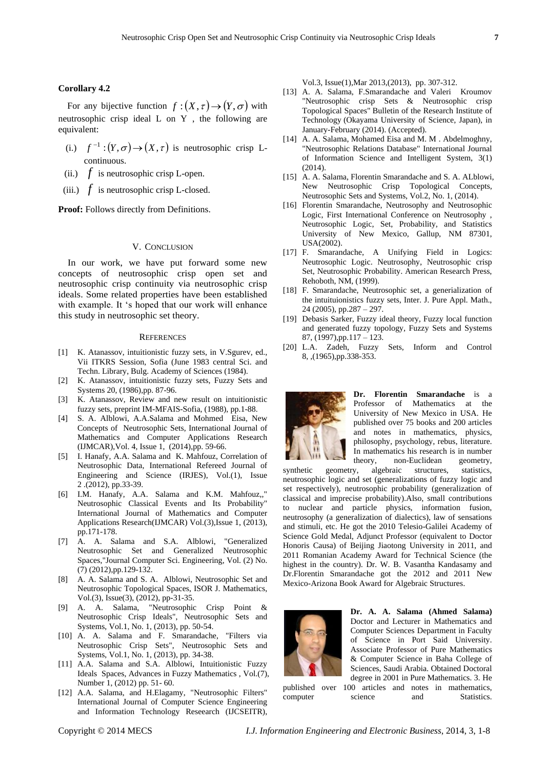## **Corollary 4.2**

For any bijective function  $f:(X,\tau) \to (Y,\sigma)$  with neutrosophic crisp ideal L on Y , the following are equivalent:

- (i.)  $f^{-1}:(Y,\sigma) \to (X,\tau)$  is neutrosophic crisp Lcontinuous.
- (ii.)  $f$  is neutrosophic crisp L-open.
- (iii.)  $f$  is neutrosophic crisp L-closed.

**Proof:** Follows directly from Definitions.

# V. CONCLUSION

In our work, we have put forward some new concepts of neutrosophic crisp open set and neutrosophic crisp continuity via neutrosophic crisp ideals. Some related properties have been established with example. It 's hoped that our work will enhance this study in neutrosophic set theory.

## **REFERENCES**

- [1] K. Atanassov, intuitionistic fuzzy sets, in V.Sgurev, ed., Vii ITKRS Session, Sofia (June 1983 central Sci. and Techn. Library, Bulg. Academy of Sciences (1984).
- [2] K. Atanassov, intuitionistic fuzzy sets, Fuzzy Sets and Systems 20, (1986),pp. 87-96.
- [3] K. Atanassov, Review and new result on intuitionistic fuzzy sets, preprint IM-MFAIS-Sofia, (1988), pp.1-88.
- [4] S. A. Alblowi, A.A.Salama and Mohmed Eisa, New Concepts of Neutrosophic Sets, International Journal of Mathematics and Computer Applications Research (IJMCAR),Vol. 4, Issue 1, (2014),pp. 59-66.
- [5] I. Hanafy, A.A. Salama and K. Mahfouz, Correlation of Neutrosophic Data, International Refereed Journal of Engineering and Science (IRJES), Vol.(1), Issue 2 .(2012), pp.33-39.
- [6] I.M. Hanafy, A.A. Salama and K.M. Mahfouz,," Neutrosophic Classical Events and Its Probability" International Journal of Mathematics and Computer Applications Research(IJMCAR) Vol.(3), Issue 1, (2013), pp.171-178.
- [7] A. A. Salama and S.A. Alblowi, "Generalized Neutrosophic Set and Generalized Neutrosophic Spaces,"Journal Computer Sci. Engineering, Vol. (2) No. (7) (2012),pp.129-132.
- [8] A. A. Salama and S. A. Alblowi, Neutrosophic Set and Neutrosophic Topological Spaces, ISOR J. Mathematics, Vol.(3), Issue(3), (2012), pp-31-35.
- [9] A. A. Salama, "Neutrosophic Crisp Point & Neutrosophic Crisp Ideals", Neutrosophic Sets and Systems, Vol.1, No. 1, (2013), pp. 50-54.
- [10] A. A. Salama and F. Smarandache, "Filters via Neutrosophic Crisp Sets", Neutrosophic Sets and Systems, Vol.1, No. 1, (2013), pp. 34-38.
- [11] A.A. Salama and S.A. Alblowi, Intuitionistic Fuzzy Ideals Spaces, Advances in Fuzzy Mathematics , Vol.(7), Number 1, (2012) pp. 51- 60.
- [12] A.A. Salama, and H.Elagamy, "Neutrosophic Filters" International Journal of Computer Science Engineering and Information Technology Reseearch (IJCSEITR),

Vol.3, Issue(1),Mar 2013,(2013), pp. 307-312.

- [13] A. A. Salama, F.Smarandache and Valeri Kroumov "Neutrosophic crisp Sets & Neutrosophic crisp Topological Spaces" Bulletin of the Research Institute of Technology (Okayama University of Science, Japan), in January-February (2014). (Accepted).
- [14] A. A. Salama, Mohamed Eisa and M. M. Abdelmoghny, "Neutrosophic Relations Database" International Journal of Information Science and Intelligent System, 3(1)  $(2014)$ .
- [15] A. A. Salama, Florentin Smarandache and S. A. ALblowi, New Neutrosophic Crisp Topological Concepts, Neutrosophic Sets and Systems, Vol.2, No. 1, (2014).
- [16] Florentin Smarandache, Neutrosophy and Neutrosophic Logic, First International Conference on Neutrosophy , Neutrosophic Logic, Set, Probability, and Statistics University of New Mexico, Gallup, NM 87301, USA(2002).
- [17] F. Smarandache, A Unifying Field in Logics: Neutrosophic Logic. Neutrosophy, Neutrosophic crisp Set, Neutrosophic Probability. American Research Press, Rehoboth, NM, (1999).
- [18] F. Smarandache, Neutrosophic set, a generialization of the intuituionistics fuzzy sets, Inter. J. Pure Appl. Math., 24 (2005), pp.287 – 297.
- [19] Debasis Sarker, Fuzzy ideal theory, Fuzzy local function and generated fuzzy topology, Fuzzy Sets and Systems 87, (1997),pp.117 – 123.
- [20] L.A. Zadeh, Fuzzy Sets, Inform and Control 8, ,(1965),pp.338-353.



**Dr. Florentin Smarandache** is a Professor of Mathematics at the University of New Mexico in USA. He published over 75 books and 200 articles and notes in mathematics, physics, philosophy, psychology, rebus, literature. In mathematics his research is in number theory, non-Euclidean geometry,

synthetic geometry, algebraic structures, statistics, neutrosophic logic and set (generalizations of fuzzy logic and set respectively), neutrosophic probability (generalization of classical and imprecise probability).Also, small contributions to nuclear and particle physics, information fusion, neutrosophy (a generalization of dialectics), law of sensations and stimuli, etc. He got the 2010 Telesio-Galilei Academy of Science Gold Medal, Adjunct Professor (equivalent to Doctor Honoris Causa) of Beijing Jiaotong University in 2011, and 2011 Romanian Academy Award for Technical Science (the highest in the country). Dr. W. B. Vasantha Kandasamy and Dr.Florentin Smarandache got the 2012 and 2011 New Mexico-Arizona Book Award for Algebraic Structures.



**Dr. A. A. Salama (Ahmed Salama)** Doctor and Lecturer in Mathematics and Computer Sciences Department in Faculty of Science in Port Said University. Associate Professor of Pure Mathematics & Computer Science in Baha College of Sciences, Saudi Arabia. Obtained Doctoral degree in 2001 in Pure Mathematics. 3. He

published over 100 articles and notes in mathematics, computer science and Statistics.